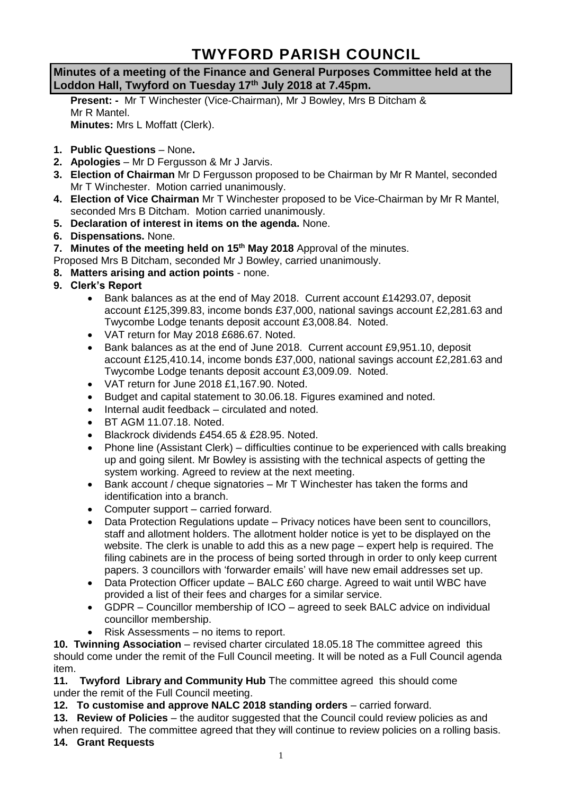## **TWYFORD PARISH COUNCIL**

**Minutes of a meeting of the Finance and General Purposes Committee held at the Loddon Hall, Twyford on Tuesday 17th July 2018 at 7.45pm.**

**Present: -** Mr T Winchester (Vice-Chairman), Mr J Bowley, Mrs B Ditcham & Mr R Mantel. **Minutes:** Mrs L Moffatt (Clerk).

- **1. Public Questions** None**.**
- **2. Apologies** Mr D Fergusson & Mr J Jarvis.
- **3. Election of Chairman** Mr D Fergusson proposed to be Chairman by Mr R Mantel, seconded Mr T Winchester. Motion carried unanimously.
- **4. Election of Vice Chairman** Mr T Winchester proposed to be Vice-Chairman by Mr R Mantel, seconded Mrs B Ditcham. Motion carried unanimously.
- **5. Declaration of interest in items on the agenda.** None.
- **6. Dispensations.** None.
- **7.** Minutes of the meeting held on 15<sup>th</sup> May 2018 Approval of the minutes.
- Proposed Mrs B Ditcham, seconded Mr J Bowley, carried unanimously.
- **8. Matters arising and action points** none.
- **9. Clerk's Report**
	- Bank balances as at the end of May 2018. Current account £14293.07, deposit account £125,399.83, income bonds £37,000, national savings account £2,281.63 and Twycombe Lodge tenants deposit account £3,008.84. Noted.
	- VAT return for May 2018 £686.67. Noted.
	- Bank balances as at the end of June 2018. Current account £9,951.10, deposit account £125,410.14, income bonds £37,000, national savings account £2,281.63 and Twycombe Lodge tenants deposit account £3,009.09. Noted.
	- VAT return for June 2018 £1,167.90. Noted.
	- Budget and capital statement to 30.06.18. Figures examined and noted.
	- Internal audit feedback circulated and noted.
	- BT AGM 11.07.18. Noted.
	- Blackrock dividends £454.65 & £28.95. Noted.
	- Phone line (Assistant Clerk) difficulties continue to be experienced with calls breaking up and going silent. Mr Bowley is assisting with the technical aspects of getting the system working. Agreed to review at the next meeting.
	- Bank account / cheque signatories Mr T Winchester has taken the forms and identification into a branch.
	- Computer support carried forward.
	- Data Protection Regulations update Privacy notices have been sent to councillors, staff and allotment holders. The allotment holder notice is yet to be displayed on the website. The clerk is unable to add this as a new page – expert help is required. The filing cabinets are in the process of being sorted through in order to only keep current papers. 3 councillors with 'forwarder emails' will have new email addresses set up.
	- Data Protection Officer update BALC £60 charge. Agreed to wait until WBC have provided a list of their fees and charges for a similar service.
	- GDPR Councillor membership of ICO agreed to seek BALC advice on individual councillor membership.
	- Risk Assessments no items to report.

**10. Twinning Association** – revised charter circulated 18.05.18 The committee agreed this should come under the remit of the Full Council meeting. It will be noted as a Full Council agenda item.

**11. Twyford Library and Community Hub** The committee agreed this should come under the remit of the Full Council meeting.

12. To customise and approve NALC 2018 standing orders – carried forward.

13. Review of Policies – the auditor suggested that the Council could review policies as and when required. The committee agreed that they will continue to review policies on a rolling basis. **14. Grant Requests**